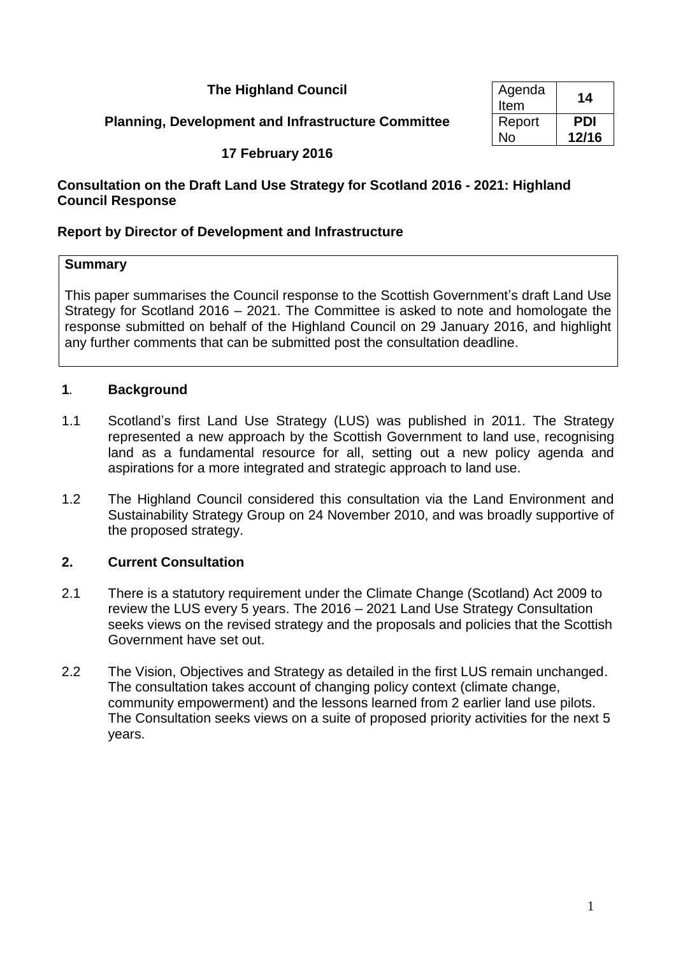## **The Highland Council**

## **Planning, Development and Infrastructure Committee**

| Agenda<br>Item | 14         |
|----------------|------------|
| Report         | <b>PDI</b> |
| Nο             | 12/16      |

## **17 February 2016**

## **Consultation on the Draft Land Use Strategy for Scotland 2016 - 2021: Highland Council Response**

## **Report by Director of Development and Infrastructure**

#### **Summary**

This paper summarises the Council response to the Scottish Government's draft Land Use Strategy for Scotland 2016 – 2021. The Committee is asked to note and homologate the response submitted on behalf of the Highland Council on 29 January 2016, and highlight any further comments that can be submitted post the consultation deadline.

## **1***.* **Background**

- 1.1 Scotland's first Land Use Strategy (LUS) was published in 2011. The Strategy represented a new approach by the Scottish Government to land use, recognising land as a fundamental resource for all, setting out a new policy agenda and aspirations for a more integrated and strategic approach to land use.
- 1.2 The Highland Council considered this consultation via the Land Environment and Sustainability Strategy Group on 24 November 2010, and was broadly supportive of the proposed strategy.

## **2. Current Consultation**

- 2.1 There is a statutory requirement under the Climate Change (Scotland) Act 2009 to review the LUS every 5 years. The 2016 – 2021 Land Use Strategy Consultation seeks views on the revised strategy and the proposals and policies that the Scottish Government have set out.
- 2.2 The Vision, Objectives and Strategy as detailed in the first LUS remain unchanged. The consultation takes account of changing policy context (climate change, community empowerment) and the lessons learned from 2 earlier land use pilots. The Consultation seeks views on a suite of proposed priority activities for the next 5 years.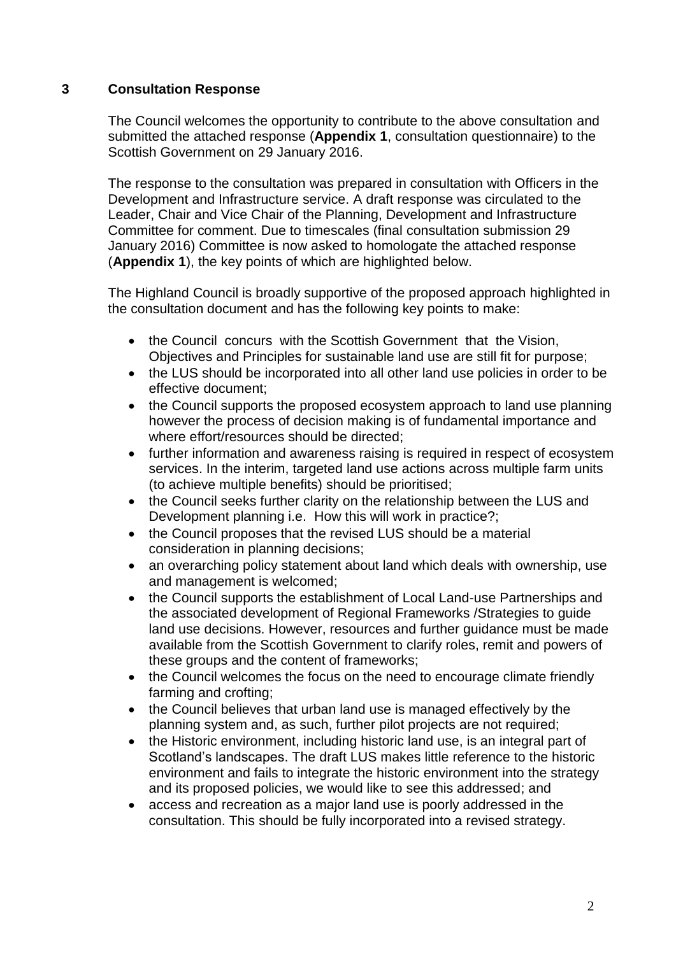## **3 Consultation Response**

The Council welcomes the opportunity to contribute to the above consultation and submitted the attached response (**Appendix 1**, consultation questionnaire) to the Scottish Government on 29 January 2016.

The response to the consultation was prepared in consultation with Officers in the Development and Infrastructure service. A draft response was circulated to the Leader, Chair and Vice Chair of the Planning, Development and Infrastructure Committee for comment. Due to timescales (final consultation submission 29 January 2016) Committee is now asked to homologate the attached response (**Appendix 1**), the key points of which are highlighted below.

The Highland Council is broadly supportive of the proposed approach highlighted in the consultation document and has the following key points to make:

- the Council concurs with the Scottish Government that the Vision, Objectives and Principles for sustainable land use are still fit for purpose;
- the LUS should be incorporated into all other land use policies in order to be effective document;
- the Council supports the proposed ecosystem approach to land use planning however the process of decision making is of fundamental importance and where effort/resources should be directed;
- further information and awareness raising is required in respect of ecosystem services. In the interim, targeted land use actions across multiple farm units (to achieve multiple benefits) should be prioritised;
- the Council seeks further clarity on the relationship between the LUS and Development planning i.e. How this will work in practice?;
- the Council proposes that the revised LUS should be a material consideration in planning decisions;
- an overarching policy statement about land which deals with ownership, use and management is welcomed;
- the Council supports the establishment of Local Land-use Partnerships and the associated development of Regional Frameworks /Strategies to guide land use decisions. However, resources and further guidance must be made available from the Scottish Government to clarify roles, remit and powers of these groups and the content of frameworks;
- the Council welcomes the focus on the need to encourage climate friendly farming and crofting;
- the Council believes that urban land use is managed effectively by the planning system and, as such, further pilot projects are not required;
- the Historic environment, including historic land use, is an integral part of Scotland's landscapes. The draft LUS makes little reference to the historic environment and fails to integrate the historic environment into the strategy and its proposed policies, we would like to see this addressed; and
- access and recreation as a major land use is poorly addressed in the consultation. This should be fully incorporated into a revised strategy.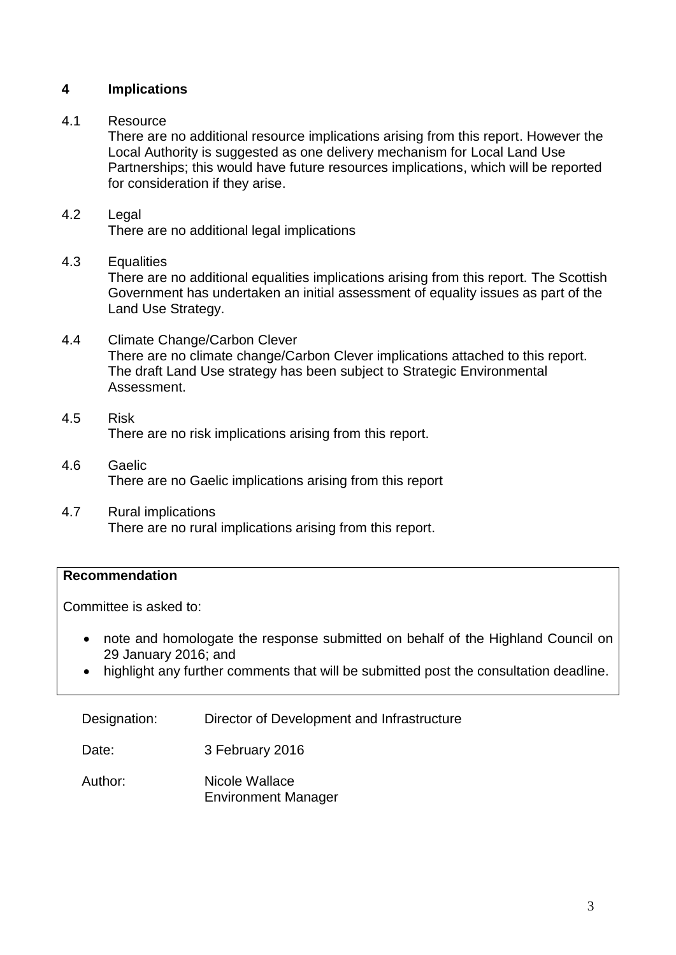## **4 Implications**

## 4.1 Resource

There are no additional resource implications arising from this report. However the Local Authority is suggested as one delivery mechanism for Local Land Use Partnerships; this would have future resources implications, which will be reported for consideration if they arise.

## 4.2 Legal

There are no additional legal implications

#### 4.3 Equalities

There are no additional equalities implications arising from this report. The Scottish Government has undertaken an initial assessment of equality issues as part of the Land Use Strategy.

- 4.4 Climate Change/Carbon Clever There are no climate change/Carbon Clever implications attached to this report. The draft Land Use strategy has been subject to Strategic Environmental Assessment.
- 4.5 Risk There are no risk implications arising from this report.
- 4.6 Gaelic There are no Gaelic implications arising from this report
- 4.7 Rural implications There are no rural implications arising from this report.

## **Recommendation**

Committee is asked to:

- note and homologate the response submitted on behalf of the Highland Council on 29 January 2016; and
- highlight any further comments that will be submitted post the consultation deadline.

Designation: Director of Development and Infrastructure

Date: 3 February 2016

Author: Nicole Wallace Environment Manager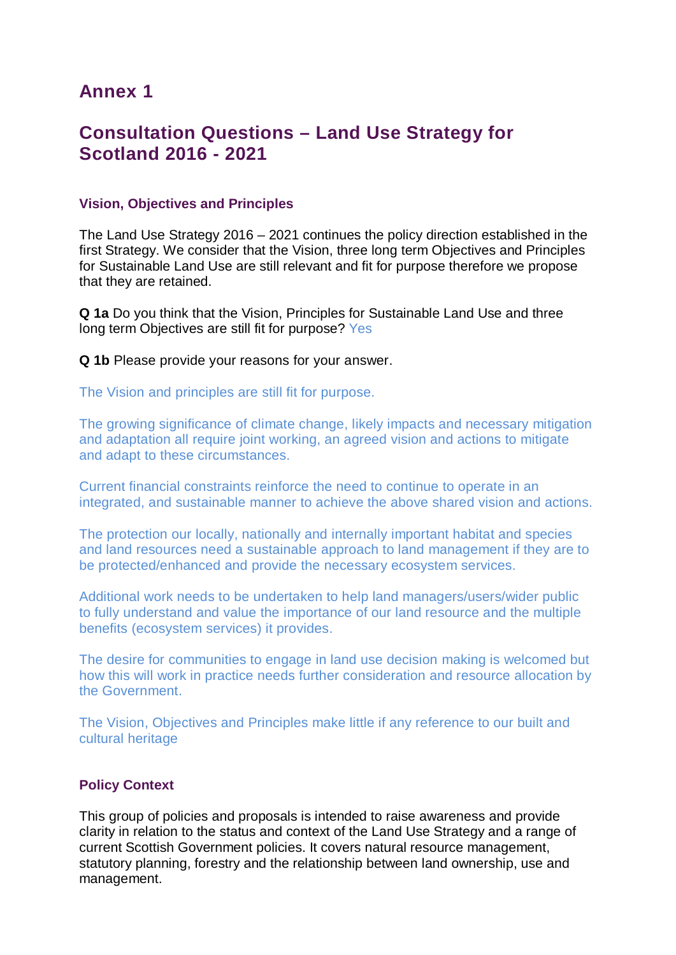# **Annex 1**

# **Consultation Questions – Land Use Strategy for Scotland 2016 - 2021**

## **Vision, Objectives and Principles**

The Land Use Strategy 2016 – 2021 continues the policy direction established in the first Strategy. We consider that the Vision, three long term Objectives and Principles for Sustainable Land Use are still relevant and fit for purpose therefore we propose that they are retained.

**Q 1a** Do you think that the Vision, Principles for Sustainable Land Use and three long term Objectives are still fit for purpose? Yes

**Q 1b** Please provide your reasons for your answer.

The Vision and principles are still fit for purpose.

The growing significance of climate change, likely impacts and necessary mitigation and adaptation all require joint working, an agreed vision and actions to mitigate and adapt to these circumstances.

Current financial constraints reinforce the need to continue to operate in an integrated, and sustainable manner to achieve the above shared vision and actions.

The protection our locally, nationally and internally important habitat and species and land resources need a sustainable approach to land management if they are to be protected/enhanced and provide the necessary ecosystem services.

Additional work needs to be undertaken to help land managers/users/wider public to fully understand and value the importance of our land resource and the multiple benefits (ecosystem services) it provides.

The desire for communities to engage in land use decision making is welcomed but how this will work in practice needs further consideration and resource allocation by the Government.

The Vision, Objectives and Principles make little if any reference to our built and cultural heritage

#### **Policy Context**

This group of policies and proposals is intended to raise awareness and provide clarity in relation to the status and context of the Land Use Strategy and a range of current Scottish Government policies. It covers natural resource management, statutory planning, forestry and the relationship between land ownership, use and management.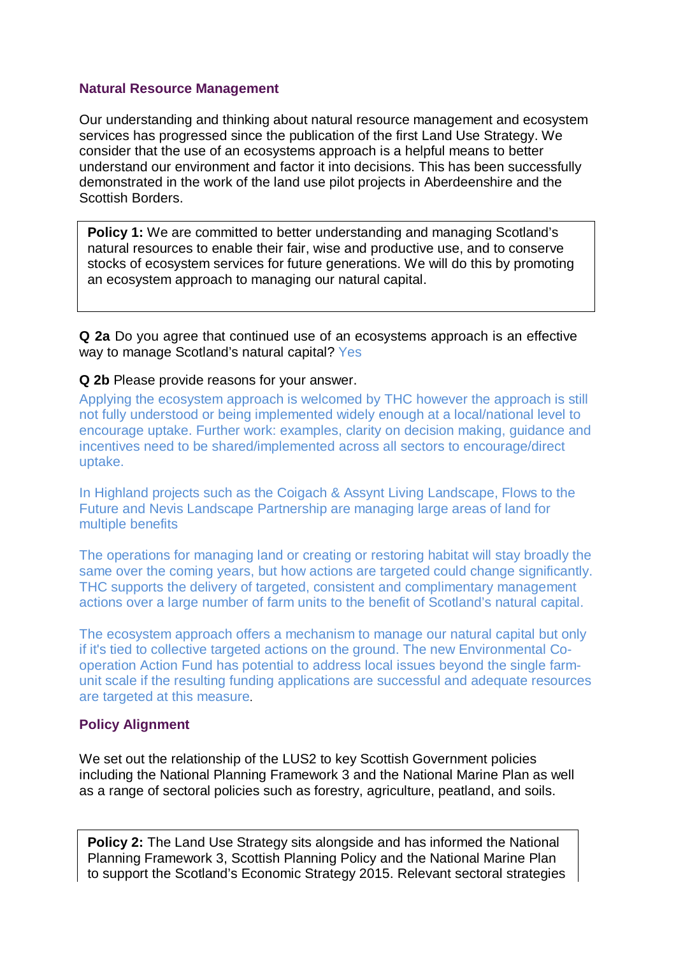#### **Natural Resource Management**

Our understanding and thinking about natural resource management and ecosystem services has progressed since the publication of the first Land Use Strategy. We consider that the use of an ecosystems approach is a helpful means to better understand our environment and factor it into decisions. This has been successfully demonstrated in the work of the land use pilot projects in Aberdeenshire and the Scottish Borders.

**Policy 1:** We are committed to better understanding and managing Scotland's natural resources to enable their fair, wise and productive use, and to conserve stocks of ecosystem services for future generations. We will do this by promoting an ecosystem approach to managing our natural capital.

**Q 2a** Do you agree that continued use of an ecosystems approach is an effective way to manage Scotland's natural capital? Yes

#### **Q 2b** Please provide reasons for your answer.

Applying the ecosystem approach is welcomed by THC however the approach is still not fully understood or being implemented widely enough at a local/national level to encourage uptake. Further work: examples, clarity on decision making, guidance and incentives need to be shared/implemented across all sectors to encourage/direct uptake.

In Highland projects such as the Coigach & Assynt Living Landscape, Flows to the Future and Nevis Landscape Partnership are managing large areas of land for multiple benefits

The operations for managing land or creating or restoring habitat will stay broadly the same over the coming years, but how actions are targeted could change significantly. THC supports the delivery of targeted, consistent and complimentary management actions over a large number of farm units to the benefit of Scotland's natural capital.

The ecosystem approach offers a mechanism to manage our natural capital but only if it's tied to collective targeted actions on the ground. The new Environmental Cooperation Action Fund has potential to address local issues beyond the single farmunit scale if the resulting funding applications are successful and adequate resources are targeted at this measure.

## **Policy Alignment**

We set out the relationship of the LUS2 to key Scottish Government policies including the National Planning Framework 3 and the National Marine Plan as well as a range of sectoral policies such as forestry, agriculture, peatland, and soils.

**Policy 2:** The Land Use Strategy sits alongside and has informed the National Planning Framework 3, Scottish Planning Policy and the National Marine Plan to support the Scotland's Economic Strategy 2015. Relevant sectoral strategies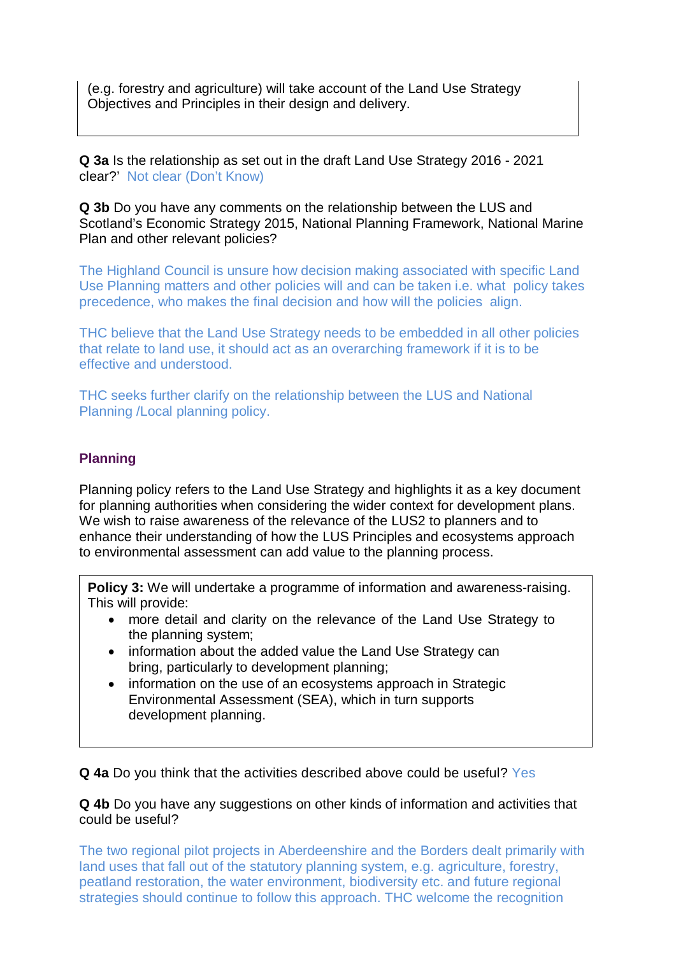(e.g. forestry and agriculture) will take account of the Land Use Strategy Objectives and Principles in their design and delivery.

**Q 3a** Is the relationship as set out in the draft Land Use Strategy 2016 - 2021 clear?' Not clear (Don't Know)

**Q 3b** Do you have any comments on the relationship between the LUS and Scotland's Economic Strategy 2015, National Planning Framework, National Marine Plan and other relevant policies?

The Highland Council is unsure how decision making associated with specific Land Use Planning matters and other policies will and can be taken i.e. what policy takes precedence, who makes the final decision and how will the policies align.

THC believe that the Land Use Strategy needs to be embedded in all other policies that relate to land use, it should act as an overarching framework if it is to be effective and understood.

THC seeks further clarify on the relationship between the LUS and National Planning /Local planning policy.

## **Planning**

Planning policy refers to the Land Use Strategy and highlights it as a key document for planning authorities when considering the wider context for development plans. We wish to raise awareness of the relevance of the LUS2 to planners and to enhance their understanding of how the LUS Principles and ecosystems approach to environmental assessment can add value to the planning process.

**Policy 3:** We will undertake a programme of information and awareness-raising. This will provide:

- more detail and clarity on the relevance of the Land Use Strategy to the planning system;
- information about the added value the Land Use Strategy can bring, particularly to development planning;
- information on the use of an ecosystems approach in Strategic Environmental Assessment (SEA), which in turn supports development planning.

**Q 4a** Do you think that the activities described above could be useful? Yes

**Q 4b** Do you have any suggestions on other kinds of information and activities that could be useful?

The two regional pilot projects in Aberdeenshire and the Borders dealt primarily with land uses that fall out of the statutory planning system, e.g. agriculture, forestry, peatland restoration, the water environment, biodiversity etc. and future regional strategies should continue to follow this approach. THC welcome the recognition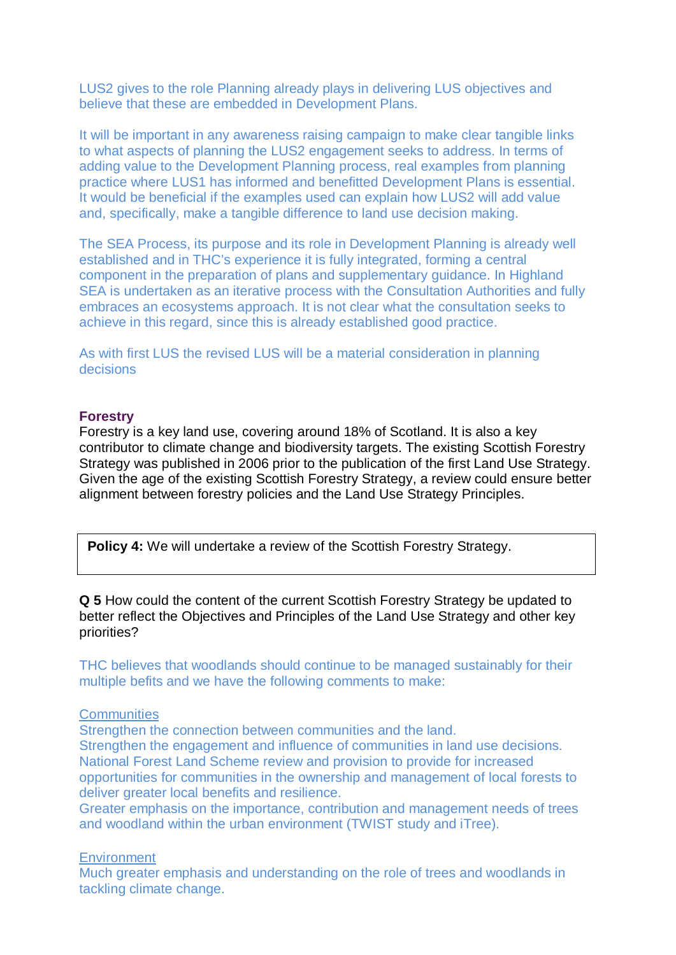LUS2 gives to the role Planning already plays in delivering LUS objectives and believe that these are embedded in Development Plans.

It will be important in any awareness raising campaign to make clear tangible links to what aspects of planning the LUS2 engagement seeks to address. In terms of adding value to the Development Planning process, real examples from planning practice where LUS1 has informed and benefitted Development Plans is essential. It would be beneficial if the examples used can explain how LUS2 will add value and, specifically, make a tangible difference to land use decision making.

The SEA Process, its purpose and its role in Development Planning is already well established and in THC's experience it is fully integrated, forming a central component in the preparation of plans and supplementary guidance. In Highland SEA is undertaken as an iterative process with the Consultation Authorities and fully embraces an ecosystems approach. It is not clear what the consultation seeks to achieve in this regard, since this is already established good practice.

As with first LUS the revised LUS will be a material consideration in planning decisions

#### **Forestry**

Forestry is a key land use, covering around 18% of Scotland. It is also a key contributor to climate change and biodiversity targets. The existing Scottish Forestry Strategy was published in 2006 prior to the publication of the first Land Use Strategy. Given the age of the existing Scottish Forestry Strategy, a review could ensure better alignment between forestry policies and the Land Use Strategy Principles.

**Policy 4:** We will undertake a review of the Scottish Forestry Strategy.

**Q 5** How could the content of the current Scottish Forestry Strategy be updated to better reflect the Objectives and Principles of the Land Use Strategy and other key priorities?

THC believes that woodlands should continue to be managed sustainably for their multiple befits and we have the following comments to make:

#### **Communities**

Strengthen the connection between communities and the land. Strengthen the engagement and influence of communities in land use decisions. National Forest Land Scheme review and provision to provide for increased opportunities for communities in the ownership and management of local forests to deliver greater local benefits and resilience.

Greater emphasis on the importance, contribution and management needs of trees and woodland within the urban environment (TWIST study and iTree).

#### **Environment**

Much greater emphasis and understanding on the role of trees and woodlands in tackling climate change.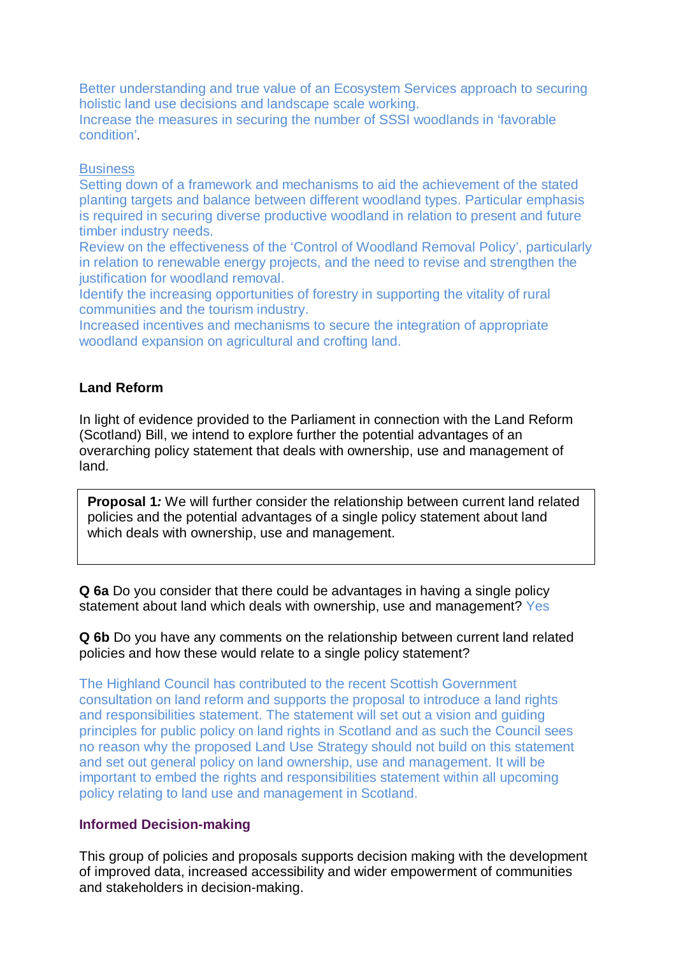Better understanding and true value of an Ecosystem Services approach to securing holistic land use decisions and landscape scale working.

Increase the measures in securing the number of SSSI woodlands in 'favorable condition'.

#### **Business**

Setting down of a framework and mechanisms to aid the achievement of the stated planting targets and balance between different woodland types. Particular emphasis is required in securing diverse productive woodland in relation to present and future timber industry needs.

Review on the effectiveness of the 'Control of Woodland Removal Policy', particularly in relation to renewable energy projects, and the need to revise and strengthen the justification for woodland removal.

Identify the increasing opportunities of forestry in supporting the vitality of rural communities and the tourism industry.

Increased incentives and mechanisms to secure the integration of appropriate woodland expansion on agricultural and crofting land.

## **Land Reform**

In light of evidence provided to the Parliament in connection with the Land Reform (Scotland) Bill, we intend to explore further the potential advantages of an overarching policy statement that deals with ownership, use and management of land.

**Proposal 1***:* We will further consider the relationship between current land related policies and the potential advantages of a single policy statement about land which deals with ownership, use and management.

**Q 6a** Do you consider that there could be advantages in having a single policy statement about land which deals with ownership, use and management? Yes

**Q 6b** Do you have any comments on the relationship between current land related policies and how these would relate to a single policy statement?

The Highland Council has contributed to the recent Scottish Government consultation on land reform and supports the proposal to introduce a land rights and responsibilities statement. The statement will set out a vision and guiding principles for public policy on land rights in Scotland and as such the Council sees no reason why the proposed Land Use Strategy should not build on this statement and set out general policy on land ownership, use and management. It will be important to embed the rights and responsibilities statement within all upcoming policy relating to land use and management in Scotland.

#### **Informed Decision-making**

This group of policies and proposals supports decision making with the development of improved data, increased accessibility and wider empowerment of communities and stakeholders in decision-making.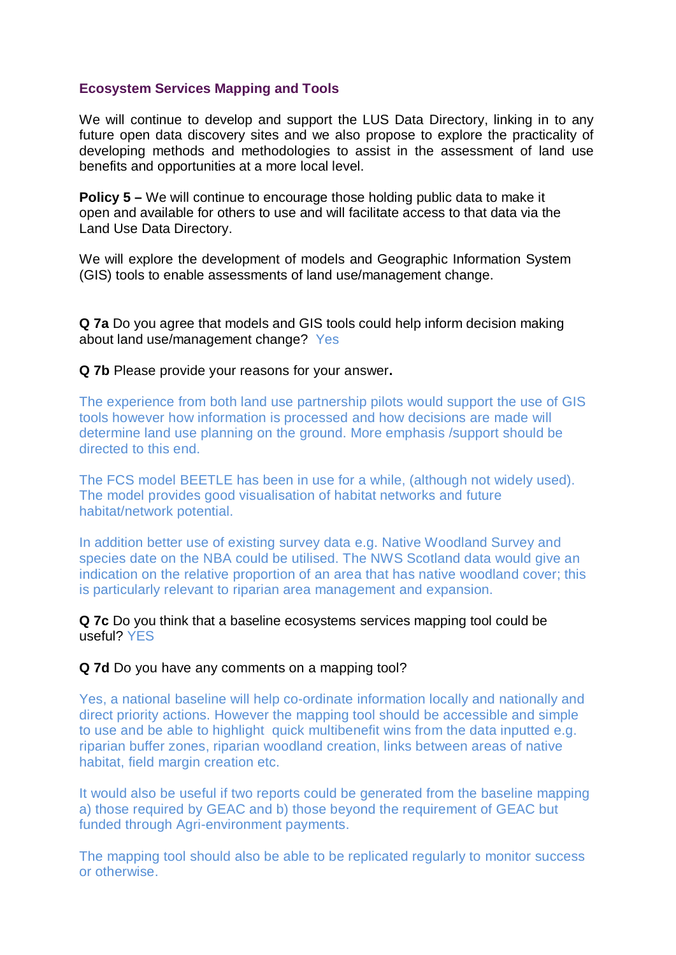#### **Ecosystem Services Mapping and Tools**

We will continue to develop and support the LUS Data Directory, linking in to any future open data discovery sites and we also propose to explore the practicality of developing methods and methodologies to assist in the assessment of land use benefits and opportunities at a more local level.

**Policy 5 –** We will continue to encourage those holding public data to make it open and available for others to use and will facilitate access to that data via the Land Use Data Directory.

We will explore the development of models and Geographic Information System (GIS) tools to enable assessments of land use/management change.

**Q 7a** Do you agree that models and GIS tools could help inform decision making about land use/management change? Yes

#### **Q 7b** Please provide your reasons for your answer**.**

The experience from both land use partnership pilots would support the use of GIS tools however how information is processed and how decisions are made will determine land use planning on the ground. More emphasis /support should be directed to this end.

The FCS model BEETLE has been in use for a while, (although not widely used). The model provides good visualisation of habitat networks and future habitat/network potential.

In addition better use of existing survey data e.g. Native Woodland Survey and species date on the NBA could be utilised. The NWS Scotland data would give an indication on the relative proportion of an area that has native woodland cover; this is particularly relevant to riparian area management and expansion.

**Q 7c** Do you think that a baseline ecosystems services mapping tool could be useful? YES

#### **Q 7d** Do you have any comments on a mapping tool?

Yes, a national baseline will help co-ordinate information locally and nationally and direct priority actions. However the mapping tool should be accessible and simple to use and be able to highlight quick multibenefit wins from the data inputted e.g. riparian buffer zones, riparian woodland creation, links between areas of native habitat, field margin creation etc.

It would also be useful if two reports could be generated from the baseline mapping a) those required by GEAC and b) those beyond the requirement of GEAC but funded through Agri-environment payments.

The mapping tool should also be able to be replicated regularly to monitor success or otherwise.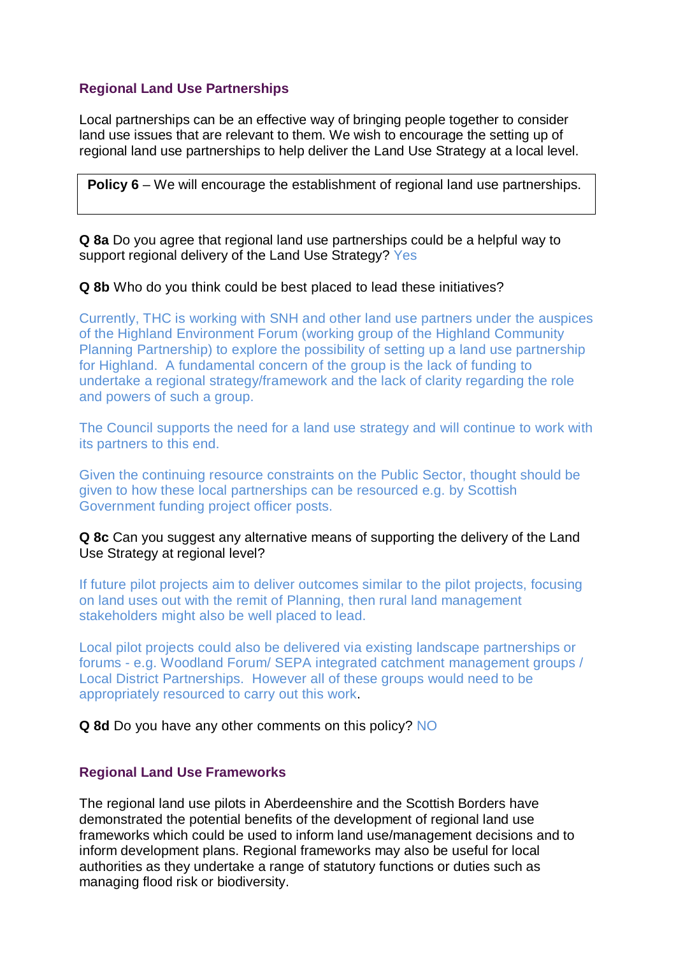## **Regional Land Use Partnerships**

Local partnerships can be an effective way of bringing people together to consider land use issues that are relevant to them. We wish to encourage the setting up of regional land use partnerships to help deliver the Land Use Strategy at a local level.

**Policy 6** – We will encourage the establishment of regional land use partnerships.

**Q 8a** Do you agree that regional land use partnerships could be a helpful way to support regional delivery of the Land Use Strategy? Yes

#### **Q 8b** Who do you think could be best placed to lead these initiatives?

Currently, THC is working with SNH and other land use partners under the auspices of the Highland Environment Forum (working group of the Highland Community Planning Partnership) to explore the possibility of setting up a land use partnership for Highland. A fundamental concern of the group is the lack of funding to undertake a regional strategy/framework and the lack of clarity regarding the role and powers of such a group.

The Council supports the need for a land use strategy and will continue to work with its partners to this end.

Given the continuing resource constraints on the Public Sector, thought should be given to how these local partnerships can be resourced e.g. by Scottish Government funding project officer posts.

#### **Q 8c** Can you suggest any alternative means of supporting the delivery of the Land Use Strategy at regional level?

If future pilot projects aim to deliver outcomes similar to the pilot projects, focusing on land uses out with the remit of Planning, then rural land management stakeholders might also be well placed to lead.

Local pilot projects could also be delivered via existing landscape partnerships or forums - e.g. Woodland Forum/ SEPA integrated catchment management groups / Local District Partnerships. However all of these groups would need to be appropriately resourced to carry out this work.

**Q 8d** Do you have any other comments on this policy? NO

#### **Regional Land Use Frameworks**

The regional land use pilots in Aberdeenshire and the Scottish Borders have demonstrated the potential benefits of the development of regional land use frameworks which could be used to inform land use/management decisions and to inform development plans. Regional frameworks may also be useful for local authorities as they undertake a range of statutory functions or duties such as managing flood risk or biodiversity.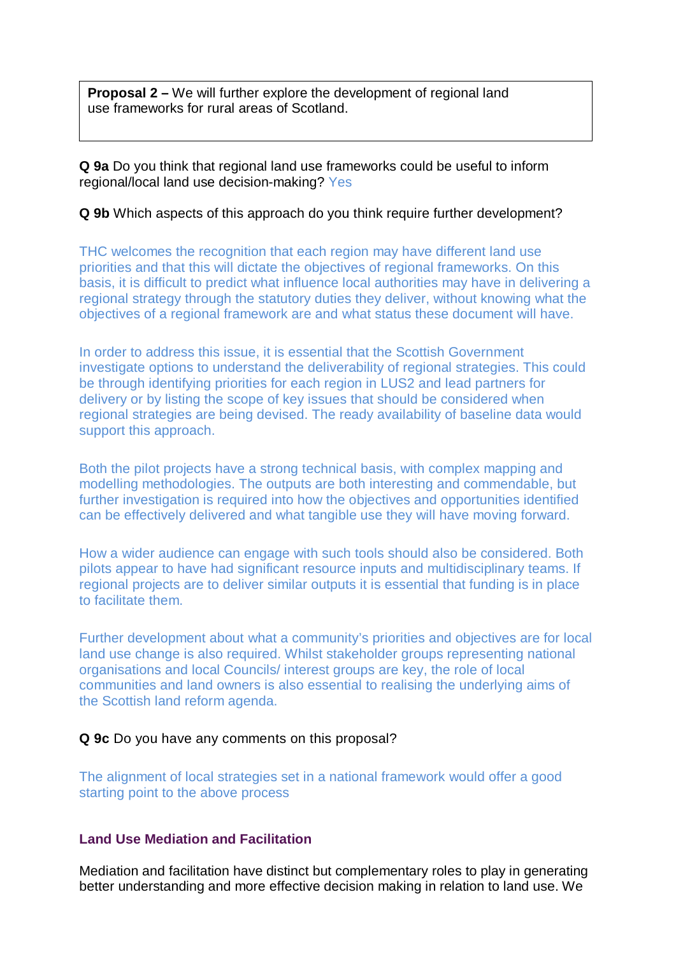**Proposal 2 –** We will further explore the development of regional land use frameworks for rural areas of Scotland.

**Q 9a** Do you think that regional land use frameworks could be useful to inform regional/local land use decision-making? Yes

## **Q 9b** Which aspects of this approach do you think require further development?

THC welcomes the recognition that each region may have different land use priorities and that this will dictate the objectives of regional frameworks. On this basis, it is difficult to predict what influence local authorities may have in delivering a regional strategy through the statutory duties they deliver, without knowing what the objectives of a regional framework are and what status these document will have.

In order to address this issue, it is essential that the Scottish Government investigate options to understand the deliverability of regional strategies. This could be through identifying priorities for each region in LUS2 and lead partners for delivery or by listing the scope of key issues that should be considered when regional strategies are being devised. The ready availability of baseline data would support this approach.

Both the pilot projects have a strong technical basis, with complex mapping and modelling methodologies. The outputs are both interesting and commendable, but further investigation is required into how the objectives and opportunities identified can be effectively delivered and what tangible use they will have moving forward.

How a wider audience can engage with such tools should also be considered. Both pilots appear to have had significant resource inputs and multidisciplinary teams. If regional projects are to deliver similar outputs it is essential that funding is in place to facilitate them.

Further development about what a community's priorities and objectives are for local land use change is also required. Whilst stakeholder groups representing national organisations and local Councils/ interest groups are key, the role of local communities and land owners is also essential to realising the underlying aims of the Scottish land reform agenda.

#### **Q 9c** Do you have any comments on this proposal?

The alignment of local strategies set in a national framework would offer a good starting point to the above process

## **Land Use Mediation and Facilitation**

Mediation and facilitation have distinct but complementary roles to play in generating better understanding and more effective decision making in relation to land use. We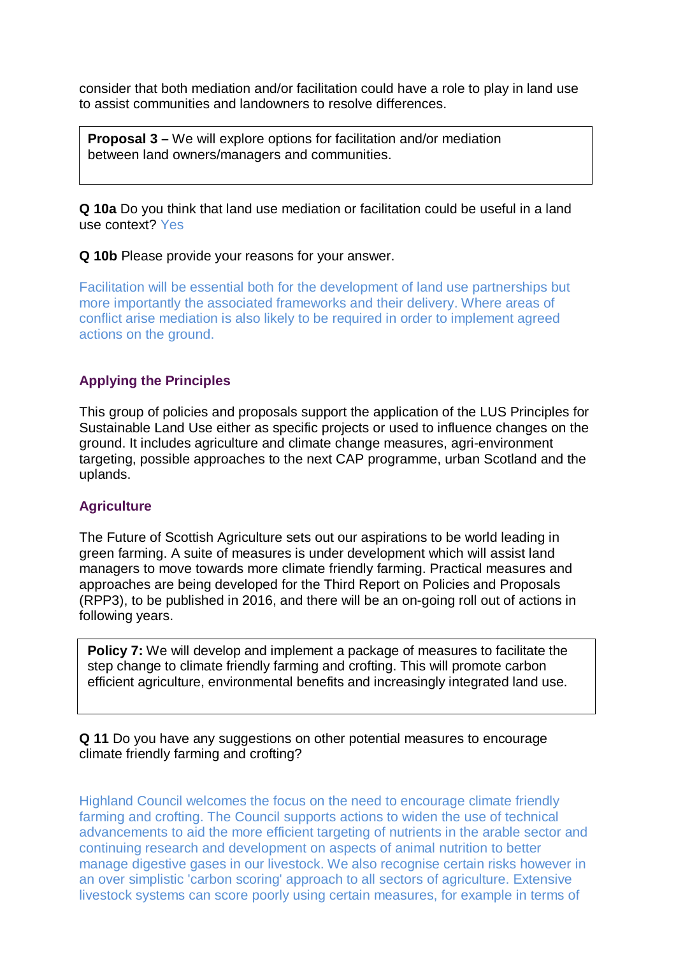consider that both mediation and/or facilitation could have a role to play in land use to assist communities and landowners to resolve differences.

**Proposal 3 –** We will explore options for facilitation and/or mediation between land owners/managers and communities.

**Q 10a** Do you think that land use mediation or facilitation could be useful in a land use context? Yes

**Q 10b** Please provide your reasons for your answer.

Facilitation will be essential both for the development of land use partnerships but more importantly the associated frameworks and their delivery. Where areas of conflict arise mediation is also likely to be required in order to implement agreed actions on the ground.

## **Applying the Principles**

This group of policies and proposals support the application of the LUS Principles for Sustainable Land Use either as specific projects or used to influence changes on the ground. It includes agriculture and climate change measures, agri-environment targeting, possible approaches to the next CAP programme, urban Scotland and the uplands.

## **Agriculture**

The Future of Scottish Agriculture sets out our aspirations to be world leading in green farming. A suite of measures is under development which will assist land managers to move towards more climate friendly farming. Practical measures and approaches are being developed for the Third Report on Policies and Proposals (RPP3), to be published in 2016, and there will be an on-going roll out of actions in following years.

**Policy 7:** We will develop and implement a package of measures to facilitate the step change to climate friendly farming and crofting. This will promote carbon efficient agriculture, environmental benefits and increasingly integrated land use.

**Q 11** Do you have any suggestions on other potential measures to encourage climate friendly farming and crofting?

Highland Council welcomes the focus on the need to encourage climate friendly farming and crofting. The Council supports actions to widen the use of technical advancements to aid the more efficient targeting of nutrients in the arable sector and continuing research and development on aspects of animal nutrition to better manage digestive gases in our livestock. We also recognise certain risks however in an over simplistic 'carbon scoring' approach to all sectors of agriculture. Extensive livestock systems can score poorly using certain measures, for example in terms of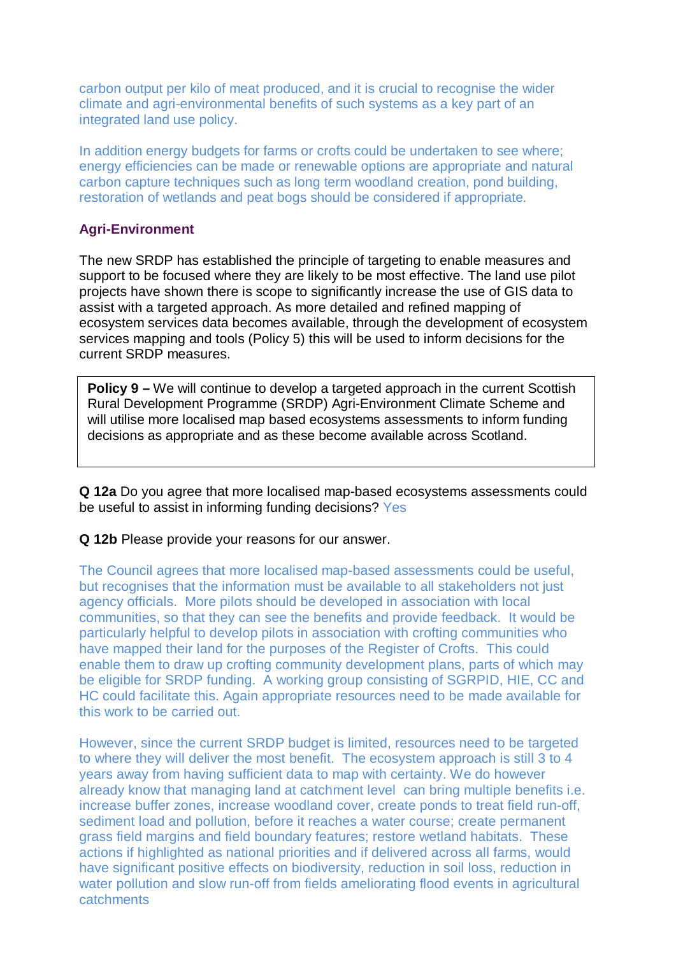carbon output per kilo of meat produced, and it is crucial to recognise the wider climate and agri-environmental benefits of such systems as a key part of an integrated land use policy.

In addition energy budgets for farms or crofts could be undertaken to see where; energy efficiencies can be made or renewable options are appropriate and natural carbon capture techniques such as long term woodland creation, pond building, restoration of wetlands and peat bogs should be considered if appropriate.

## **Agri-Environment**

The new SRDP has established the principle of targeting to enable measures and support to be focused where they are likely to be most effective. The land use pilot projects have shown there is scope to significantly increase the use of GIS data to assist with a targeted approach. As more detailed and refined mapping of ecosystem services data becomes available, through the development of ecosystem services mapping and tools (Policy 5) this will be used to inform decisions for the current SRDP measures.

**Policy 9 –** We will continue to develop a targeted approach in the current Scottish Rural Development Programme (SRDP) Agri-Environment Climate Scheme and will utilise more localised map based ecosystems assessments to inform funding decisions as appropriate and as these become available across Scotland.

**Q 12a** Do you agree that more localised map-based ecosystems assessments could be useful to assist in informing funding decisions? Yes

#### **Q 12b** Please provide your reasons for our answer.

The Council agrees that more localised map-based assessments could be useful, but recognises that the information must be available to all stakeholders not just agency officials. More pilots should be developed in association with local communities, so that they can see the benefits and provide feedback. It would be particularly helpful to develop pilots in association with crofting communities who have mapped their land for the purposes of the Register of Crofts. This could enable them to draw up crofting community development plans, parts of which may be eligible for SRDP funding. A working group consisting of SGRPID, HIE, CC and HC could facilitate this. Again appropriate resources need to be made available for this work to be carried out.

However, since the current SRDP budget is limited, resources need to be targeted to where they will deliver the most benefit. The ecosystem approach is still 3 to 4 years away from having sufficient data to map with certainty. We do however already know that managing land at catchment level can bring multiple benefits i.e. increase buffer zones, increase woodland cover, create ponds to treat field run-off, sediment load and pollution, before it reaches a water course; create permanent grass field margins and field boundary features; restore wetland habitats. These actions if highlighted as national priorities and if delivered across all farms, would have significant positive effects on biodiversity, reduction in soil loss, reduction in water pollution and slow run-off from fields ameliorating flood events in agricultural catchments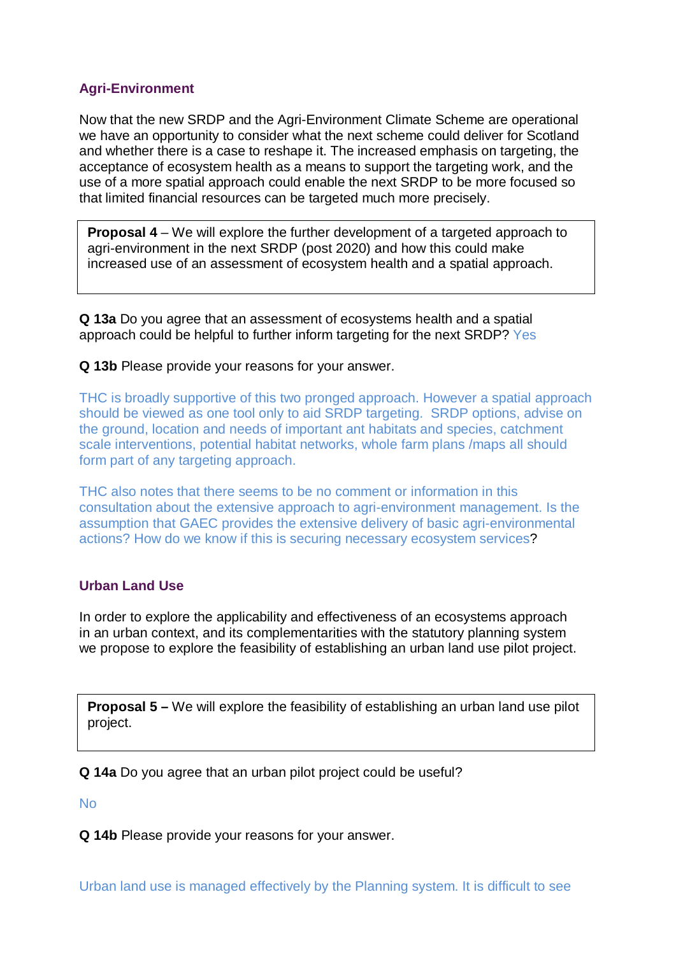## **Agri-Environment**

Now that the new SRDP and the Agri-Environment Climate Scheme are operational we have an opportunity to consider what the next scheme could deliver for Scotland and whether there is a case to reshape it. The increased emphasis on targeting, the acceptance of ecosystem health as a means to support the targeting work, and the use of a more spatial approach could enable the next SRDP to be more focused so that limited financial resources can be targeted much more precisely.

**Proposal 4** – We will explore the further development of a targeted approach to agri-environment in the next SRDP (post 2020) and how this could make increased use of an assessment of ecosystem health and a spatial approach.

**Q 13a** Do you agree that an assessment of ecosystems health and a spatial approach could be helpful to further inform targeting for the next SRDP? Yes

## **Q 13b** Please provide your reasons for your answer.

THC is broadly supportive of this two pronged approach. However a spatial approach should be viewed as one tool only to aid SRDP targeting. SRDP options, advise on the ground, location and needs of important ant habitats and species, catchment scale interventions, potential habitat networks, whole farm plans /maps all should form part of any targeting approach.

THC also notes that there seems to be no comment or information in this consultation about the extensive approach to agri-environment management. Is the assumption that GAEC provides the extensive delivery of basic agri-environmental actions? How do we know if this is securing necessary ecosystem services?

## **Urban Land Use**

In order to explore the applicability and effectiveness of an ecosystems approach in an urban context, and its complementarities with the statutory planning system we propose to explore the feasibility of establishing an urban land use pilot project.

**Proposal 5 –** We will explore the feasibility of establishing an urban land use pilot project.

**Q 14a** Do you agree that an urban pilot project could be useful?

No

**Q 14b** Please provide your reasons for your answer.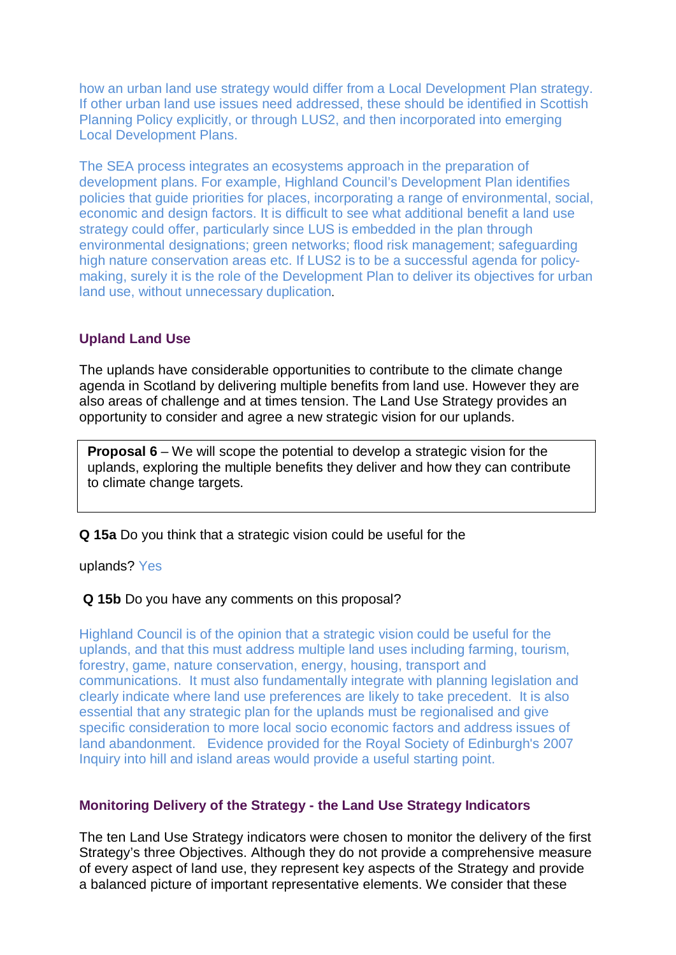how an urban land use strategy would differ from a Local Development Plan strategy. If other urban land use issues need addressed, these should be identified in Scottish Planning Policy explicitly, or through LUS2, and then incorporated into emerging Local Development Plans.

The SEA process integrates an ecosystems approach in the preparation of development plans. For example, Highland Council's Development Plan identifies policies that guide priorities for places, incorporating a range of environmental, social, economic and design factors. It is difficult to see what additional benefit a land use strategy could offer, particularly since LUS is embedded in the plan through environmental designations; green networks; flood risk management; safeguarding high nature conservation areas etc. If LUS2 is to be a successful agenda for policymaking, surely it is the role of the Development Plan to deliver its objectives for urban land use, without unnecessary duplication.

## **Upland Land Use**

The uplands have considerable opportunities to contribute to the climate change agenda in Scotland by delivering multiple benefits from land use. However they are also areas of challenge and at times tension. The Land Use Strategy provides an opportunity to consider and agree a new strategic vision for our uplands.

**Proposal 6** – We will scope the potential to develop a strategic vision for the uplands, exploring the multiple benefits they deliver and how they can contribute to climate change targets.

**Q 15a** Do you think that a strategic vision could be useful for the

uplands? Yes

#### **Q 15b** Do you have any comments on this proposal?

Highland Council is of the opinion that a strategic vision could be useful for the uplands, and that this must address multiple land uses including farming, tourism, forestry, game, nature conservation, energy, housing, transport and communications. It must also fundamentally integrate with planning legislation and clearly indicate where land use preferences are likely to take precedent. It is also essential that any strategic plan for the uplands must be regionalised and give specific consideration to more local socio economic factors and address issues of land abandonment. Evidence provided for the Royal Society of Edinburgh's 2007 Inquiry into hill and island areas would provide a useful starting point.

#### **Monitoring Delivery of the Strategy - the Land Use Strategy Indicators**

The ten Land Use Strategy indicators were chosen to monitor the delivery of the first Strategy's three Objectives. Although they do not provide a comprehensive measure of every aspect of land use, they represent key aspects of the Strategy and provide a balanced picture of important representative elements. We consider that these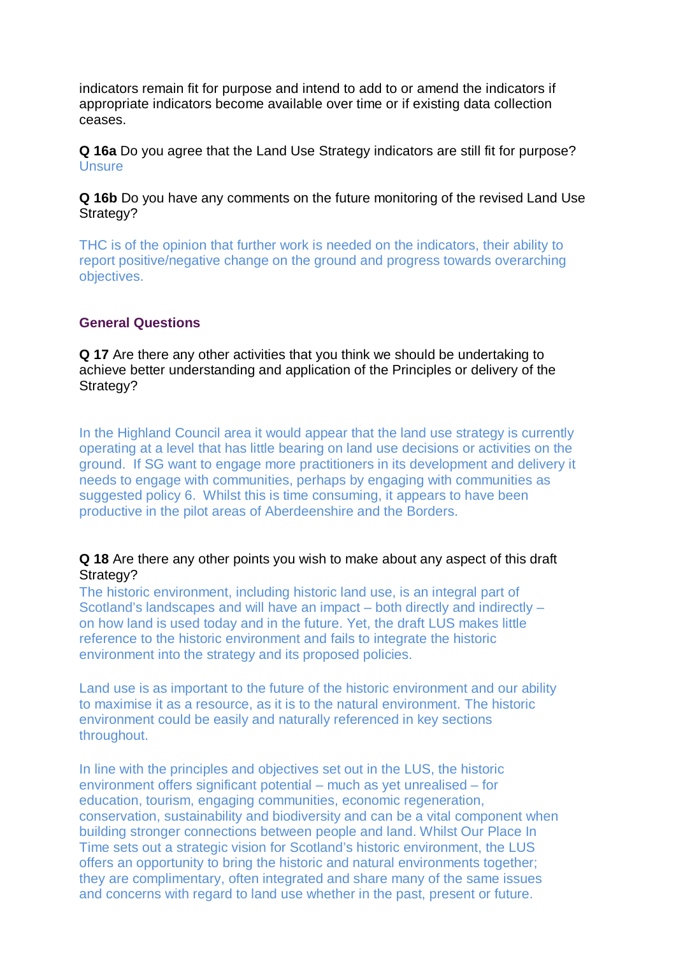indicators remain fit for purpose and intend to add to or amend the indicators if appropriate indicators become available over time or if existing data collection ceases.

**Q 16a** Do you agree that the Land Use Strategy indicators are still fit for purpose? Unsure

**Q 16b** Do you have any comments on the future monitoring of the revised Land Use Strategy?

THC is of the opinion that further work is needed on the indicators, their ability to report positive/negative change on the ground and progress towards overarching objectives.

#### **General Questions**

**Q 17** Are there any other activities that you think we should be undertaking to achieve better understanding and application of the Principles or delivery of the Strategy?

In the Highland Council area it would appear that the land use strategy is currently operating at a level that has little bearing on land use decisions or activities on the ground. If SG want to engage more practitioners in its development and delivery it needs to engage with communities, perhaps by engaging with communities as suggested policy 6. Whilst this is time consuming, it appears to have been productive in the pilot areas of Aberdeenshire and the Borders.

#### **Q 18** Are there any other points you wish to make about any aspect of this draft Strategy?

The historic environment, including historic land use, is an integral part of Scotland's landscapes and will have an impact – both directly and indirectly – on how land is used today and in the future. Yet, the draft LUS makes little reference to the historic environment and fails to integrate the historic environment into the strategy and its proposed policies.

Land use is as important to the future of the historic environment and our ability to maximise it as a resource, as it is to the natural environment. The historic environment could be easily and naturally referenced in key sections throughout.

In line with the principles and objectives set out in the LUS, the historic environment offers significant potential – much as yet unrealised – for education, tourism, engaging communities, economic regeneration, conservation, sustainability and biodiversity and can be a vital component when building stronger connections between people and land. Whilst Our Place In Time sets out a strategic vision for Scotland's historic environment, the LUS offers an opportunity to bring the historic and natural environments together; they are complimentary, often integrated and share many of the same issues and concerns with regard to land use whether in the past, present or future.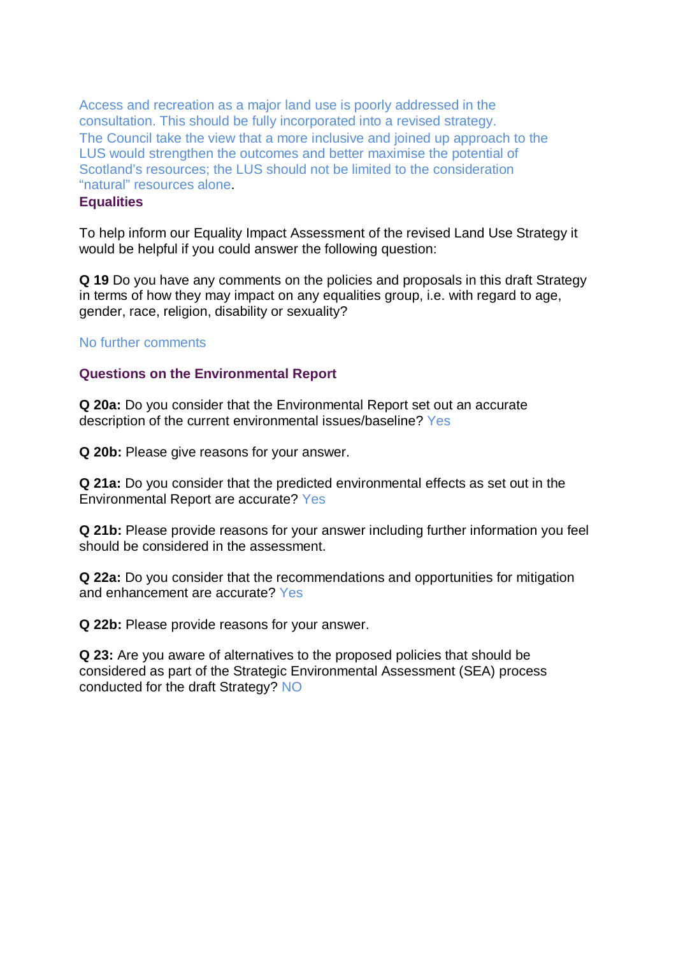Access and recreation as a major land use is poorly addressed in the consultation. This should be fully incorporated into a revised strategy. The Council take the view that a more inclusive and joined up approach to the LUS would strengthen the outcomes and better maximise the potential of Scotland's resources; the LUS should not be limited to the consideration "natural" resources alone.

## **Equalities**

To help inform our Equality Impact Assessment of the revised Land Use Strategy it would be helpful if you could answer the following question:

**Q 19** Do you have any comments on the policies and proposals in this draft Strategy in terms of how they may impact on any equalities group, i.e. with regard to age, gender, race, religion, disability or sexuality?

#### No further comments

#### **Questions on the Environmental Report**

**Q 20a:** Do you consider that the Environmental Report set out an accurate description of the current environmental issues/baseline? Yes

**Q 20b:** Please give reasons for your answer.

**Q 21a:** Do you consider that the predicted environmental effects as set out in the Environmental Report are accurate? Yes

**Q 21b:** Please provide reasons for your answer including further information you feel should be considered in the assessment.

**Q 22a:** Do you consider that the recommendations and opportunities for mitigation and enhancement are accurate? Yes

**Q 22b:** Please provide reasons for your answer.

**Q 23:** Are you aware of alternatives to the proposed policies that should be considered as part of the Strategic Environmental Assessment (SEA) process conducted for the draft Strategy? NO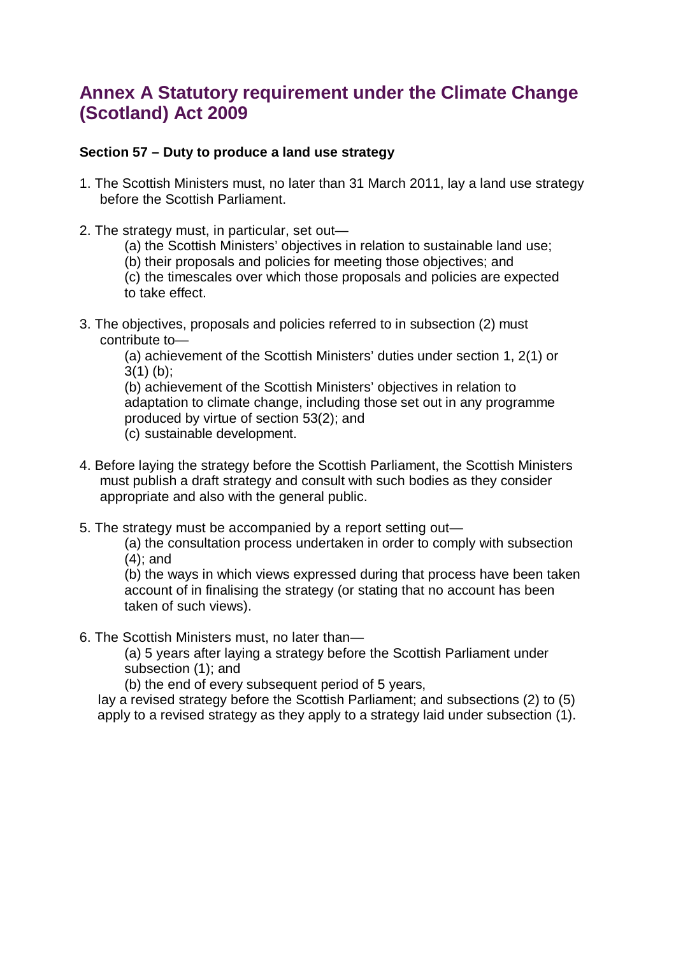# **Annex A Statutory requirement under the Climate Change (Scotland) Act 2009**

## **Section 57 – Duty to produce a land use strategy**

- 1. The Scottish Ministers must, no later than 31 March 2011, lay a land use strategy before the Scottish Parliament.
- 2. The strategy must, in particular, set out—
	- (a) the Scottish Ministers' objectives in relation to sustainable land use;
	- (b) their proposals and policies for meeting those objectives; and

(c) the timescales over which those proposals and policies are expected to take effect.

3. The objectives, proposals and policies referred to in subsection (2) must contribute to—

(a) achievement of the Scottish Ministers' duties under section 1, 2(1) or  $3(1)$  (b);

(b) achievement of the Scottish Ministers' objectives in relation to adaptation to climate change, including those set out in any programme produced by virtue of section 53(2); and (c) sustainable development.

- 4. Before laying the strategy before the Scottish Parliament, the Scottish Ministers must publish a draft strategy and consult with such bodies as they consider appropriate and also with the general public.
- 5. The strategy must be accompanied by a report setting out—

(a) the consultation process undertaken in order to comply with subsection (4); and

(b) the ways in which views expressed during that process have been taken account of in finalising the strategy (or stating that no account has been taken of such views).

6. The Scottish Ministers must, no later than—

(a) 5 years after laying a strategy before the Scottish Parliament under subsection (1); and

(b) the end of every subsequent period of 5 years,

lay a revised strategy before the Scottish Parliament; and subsections (2) to (5) apply to a revised strategy as they apply to a strategy laid under subsection (1).